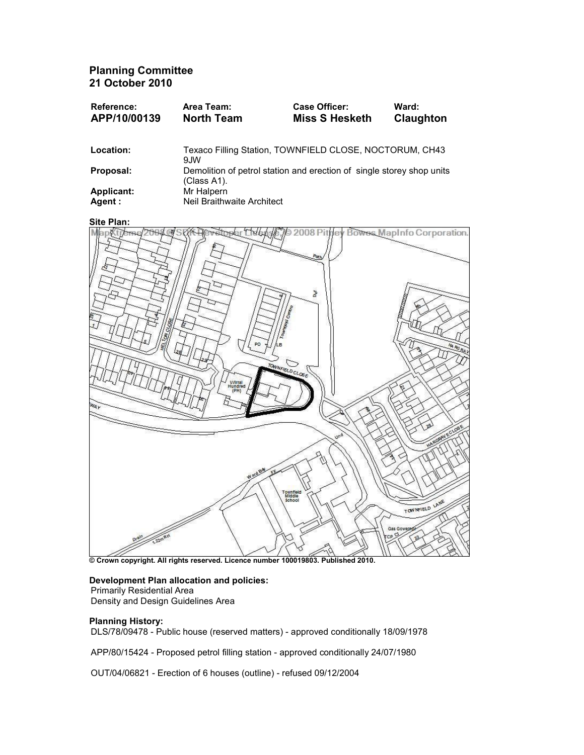Planning Committee 21 October 2010

| Reference:<br>APP/10/00139 | Area Team:<br><b>North Team</b>                                                      | Case Officer:<br><b>Miss S Hesketh</b> | Ward:<br>Claughton |
|----------------------------|--------------------------------------------------------------------------------------|----------------------------------------|--------------------|
|                            |                                                                                      |                                        |                    |
| Location:                  | Texaco Filling Station, TOWNFIELD CLOSE, NOCTORUM, CH43<br>9.IW                      |                                        |                    |
| Proposal:                  | Demolition of petrol station and erection of single storey shop units<br>(Class A1). |                                        |                    |
| <b>Applicant:</b>          | Mr Halpern                                                                           |                                        |                    |
| Agent :                    | Neil Braithwaite Architect                                                           |                                        |                    |

#### Site Plan:



© Crown copyright. All rights reserved. Licence number 100019803. Published 2010.

### Development Plan allocation and policies: Primarily Residential Area

Density and Design Guidelines Area

## Planning History:

DLS/78/09478 - Public house (reserved matters) - approved conditionally 18/09/1978

APP/80/15424 - Proposed petrol filling station - approved conditionally 24/07/1980

OUT/04/06821 - Erection of 6 houses (outline) - refused 09/12/2004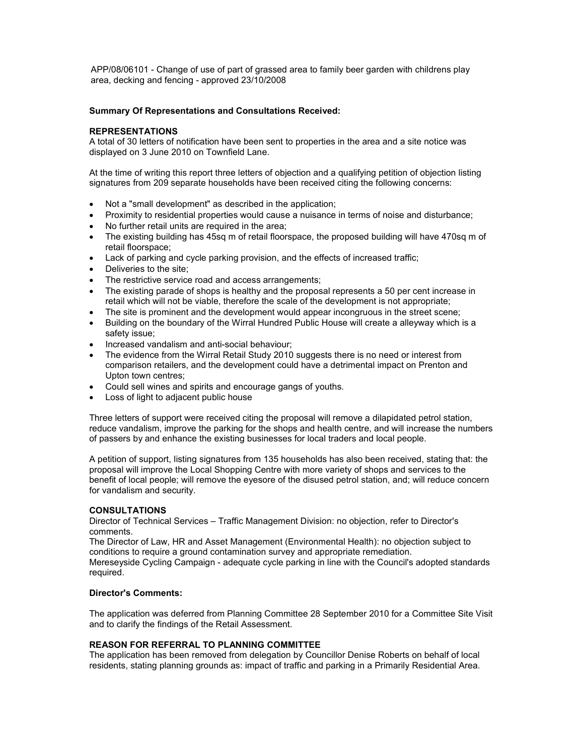APP/08/06101 - Change of use of part of grassed area to family beer garden with childrens play area, decking and fencing - approved 23/10/2008

## Summary Of Representations and Consultations Received:

# REPRESENTATIONS

A total of 30 letters of notification have been sent to properties in the area and a site notice was displayed on 3 June 2010 on Townfield Lane.

At the time of writing this report three letters of objection and a qualifying petition of objection listing signatures from 209 separate households have been received citing the following concerns:

- Not a "small development" as described in the application;
- Proximity to residential properties would cause a nuisance in terms of noise and disturbance;
- No further retail units are required in the area;
- The existing building has 45sq m of retail floorspace, the proposed building will have 470sq m of retail floorspace;
- Lack of parking and cycle parking provision, and the effects of increased traffic;
- Deliveries to the site;
- The restrictive service road and access arrangements:
- The existing parade of shops is healthy and the proposal represents a 50 per cent increase in retail which will not be viable, therefore the scale of the development is not appropriate;
- The site is prominent and the development would appear incongruous in the street scene:
- Building on the boundary of the Wirral Hundred Public House will create a alleyway which is a safety issue;
- Increased vandalism and anti-social behaviour;
- The evidence from the Wirral Retail Study 2010 suggests there is no need or interest from comparison retailers, and the development could have a detrimental impact on Prenton and Upton town centres;
- Could sell wines and spirits and encourage gangs of youths.
- Loss of light to adjacent public house

Three letters of support were received citing the proposal will remove a dilapidated petrol station, reduce vandalism, improve the parking for the shops and health centre, and will increase the numbers of passers by and enhance the existing businesses for local traders and local people.

A petition of support, listing signatures from 135 households has also been received, stating that: the proposal will improve the Local Shopping Centre with more variety of shops and services to the benefit of local people; will remove the eyesore of the disused petrol station, and; will reduce concern for vandalism and security.

## **CONSULTATIONS**

Director of Technical Services – Traffic Management Division: no objection, refer to Director's comments.

The Director of Law, HR and Asset Management (Environmental Health): no objection subject to conditions to require a ground contamination survey and appropriate remediation. Mereseyside Cycling Campaign - adequate cycle parking in line with the Council's adopted standards required.

## Director's Comments:

The application was deferred from Planning Committee 28 September 2010 for a Committee Site Visit and to clarify the findings of the Retail Assessment.

# REASON FOR REFERRAL TO PLANNING COMMITTEE

The application has been removed from delegation by Councillor Denise Roberts on behalf of local residents, stating planning grounds as: impact of traffic and parking in a Primarily Residential Area.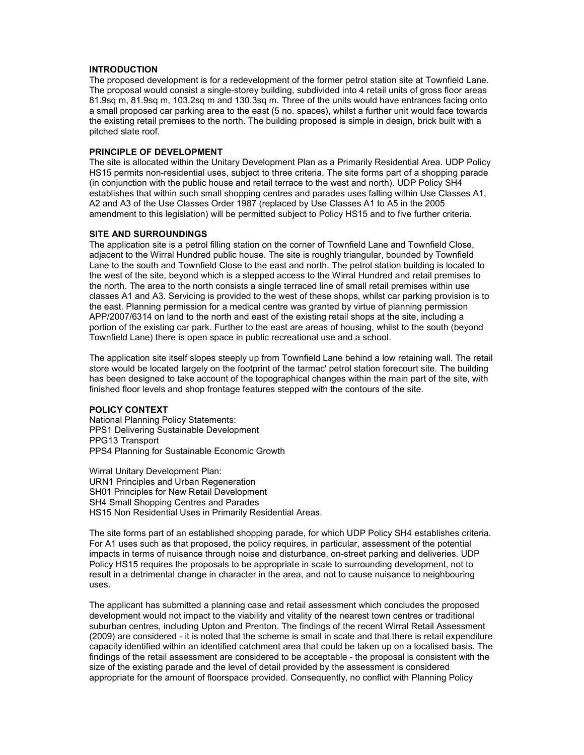## INTRODUCTION

The proposed development is for a redevelopment of the former petrol station site at Townfield Lane. The proposal would consist a single-storey building, subdivided into 4 retail units of gross floor areas 81.9sq m, 81.9sq m, 103.2sq m and 130.3sq m. Three of the units would have entrances facing onto a small proposed car parking area to the east (5 no. spaces), whilst a further unit would face towards the existing retail premises to the north. The building proposed is simple in design, brick built with a pitched slate roof.

# PRINCIPLE OF DEVELOPMENT

The site is allocated within the Unitary Development Plan as a Primarily Residential Area. UDP Policy HS15 permits non-residential uses, subject to three criteria. The site forms part of a shopping parade (in conjunction with the public house and retail terrace to the west and north). UDP Policy SH4 establishes that within such small shopping centres and parades uses falling within Use Classes A1, A2 and A3 of the Use Classes Order 1987 (replaced by Use Classes A1 to A5 in the 2005 amendment to this legislation) will be permitted subject to Policy HS15 and to five further criteria.

### SITE AND SURROUNDINGS

The application site is a petrol filling station on the corner of Townfield Lane and Townfield Close, adjacent to the Wirral Hundred public house. The site is roughly triangular, bounded by Townfield Lane to the south and Townfield Close to the east and north. The petrol station building is located to the west of the site, beyond which is a stepped access to the Wirral Hundred and retail premises to the north. The area to the north consists a single terraced line of small retail premises within use classes A1 and A3. Servicing is provided to the west of these shops, whilst car parking provision is to the east. Planning permission for a medical centre was granted by virtue of planning permission APP/2007/6314 on land to the north and east of the existing retail shops at the site, including a portion of the existing car park. Further to the east are areas of housing, whilst to the south (beyond Townfield Lane) there is open space in public recreational use and a school.

The application site itself slopes steeply up from Townfield Lane behind a low retaining wall. The retail store would be located largely on the footprint of the tarmac' petrol station forecourt site. The building has been designed to take account of the topographical changes within the main part of the site, with finished floor levels and shop frontage features stepped with the contours of the site.

### POLICY CONTEXT

National Planning Policy Statements: PPS1 Delivering Sustainable Development PPG13 Transport PPS4 Planning for Sustainable Economic Growth

Wirral Unitary Development Plan: URN1 Principles and Urban Regeneration SH01 Principles for New Retail Development SH4 Small Shopping Centres and Parades HS15 Non Residential Uses in Primarily Residential Areas.

The site forms part of an established shopping parade, for which UDP Policy SH4 establishes criteria. For A1 uses such as that proposed, the policy requires, in particular, assessment of the potential impacts in terms of nuisance through noise and disturbance, on-street parking and deliveries. UDP Policy HS15 requires the proposals to be appropriate in scale to surrounding development, not to result in a detrimental change in character in the area, and not to cause nuisance to neighbouring uses.

The applicant has submitted a planning case and retail assessment which concludes the proposed development would not impact to the viability and vitality of the nearest town centres or traditional suburban centres, including Upton and Prenton. The findings of the recent Wirral Retail Assessment (2009) are considered - it is noted that the scheme is small in scale and that there is retail expenditure capacity identified within an identified catchment area that could be taken up on a localised basis. The findings of the retail assessment are considered to be acceptable - the proposal is consistent with the size of the existing parade and the level of detail provided by the assessment is considered appropriate for the amount of floorspace provided. Consequently, no conflict with Planning Policy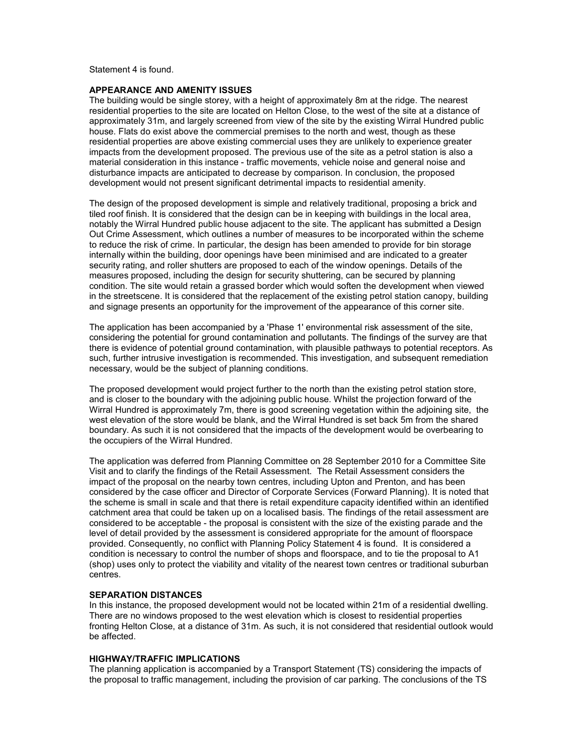Statement 4 is found.

### APPEARANCE AND AMENITY ISSUES

The building would be single storey, with a height of approximately 8m at the ridge. The nearest residential properties to the site are located on Helton Close, to the west of the site at a distance of approximately 31m, and largely screened from view of the site by the existing Wirral Hundred public house. Flats do exist above the commercial premises to the north and west, though as these residential properties are above existing commercial uses they are unlikely to experience greater impacts from the development proposed. The previous use of the site as a petrol station is also a material consideration in this instance - traffic movements, vehicle noise and general noise and disturbance impacts are anticipated to decrease by comparison. In conclusion, the proposed development would not present significant detrimental impacts to residential amenity.

The design of the proposed development is simple and relatively traditional, proposing a brick and tiled roof finish. It is considered that the design can be in keeping with buildings in the local area, notably the Wirral Hundred public house adjacent to the site. The applicant has submitted a Design Out Crime Assessment, which outlines a number of measures to be incorporated within the scheme to reduce the risk of crime. In particular, the design has been amended to provide for bin storage internally within the building, door openings have been minimised and are indicated to a greater security rating, and roller shutters are proposed to each of the window openings. Details of the measures proposed, including the design for security shuttering, can be secured by planning condition. The site would retain a grassed border which would soften the development when viewed in the streetscene. It is considered that the replacement of the existing petrol station canopy, building and signage presents an opportunity for the improvement of the appearance of this corner site.

The application has been accompanied by a 'Phase 1' environmental risk assessment of the site, considering the potential for ground contamination and pollutants. The findings of the survey are that there is evidence of potential ground contamination, with plausible pathways to potential receptors. As such, further intrusive investigation is recommended. This investigation, and subsequent remediation necessary, would be the subject of planning conditions.

The proposed development would project further to the north than the existing petrol station store, and is closer to the boundary with the adjoining public house. Whilst the projection forward of the Wirral Hundred is approximately 7m, there is good screening vegetation within the adjoining site, the west elevation of the store would be blank, and the Wirral Hundred is set back 5m from the shared boundary. As such it is not considered that the impacts of the development would be overbearing to the occupiers of the Wirral Hundred.

The application was deferred from Planning Committee on 28 September 2010 for a Committee Site Visit and to clarify the findings of the Retail Assessment. The Retail Assessment considers the impact of the proposal on the nearby town centres, including Upton and Prenton, and has been considered by the case officer and Director of Corporate Services (Forward Planning). It is noted that the scheme is small in scale and that there is retail expenditure capacity identified within an identified catchment area that could be taken up on a localised basis. The findings of the retail assessment are considered to be acceptable - the proposal is consistent with the size of the existing parade and the level of detail provided by the assessment is considered appropriate for the amount of floorspace provided. Consequently, no conflict with Planning Policy Statement 4 is found. It is considered a condition is necessary to control the number of shops and floorspace, and to tie the proposal to A1 (shop) uses only to protect the viability and vitality of the nearest town centres or traditional suburban centres.

## SEPARATION DISTANCES

In this instance, the proposed development would not be located within 21m of a residential dwelling. There are no windows proposed to the west elevation which is closest to residential properties fronting Helton Close, at a distance of 31m. As such, it is not considered that residential outlook would be affected.

#### HIGHWAY/TRAFFIC IMPLICATIONS

The planning application is accompanied by a Transport Statement (TS) considering the impacts of the proposal to traffic management, including the provision of car parking. The conclusions of the TS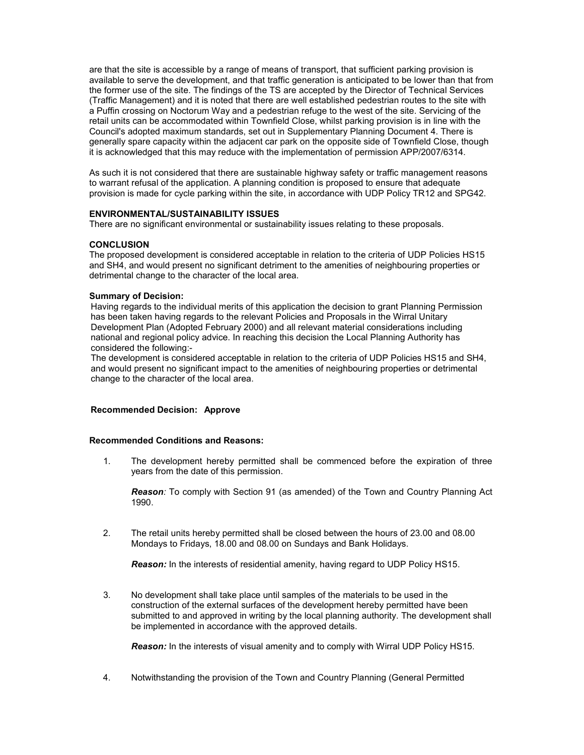are that the site is accessible by a range of means of transport, that sufficient parking provision is available to serve the development, and that traffic generation is anticipated to be lower than that from the former use of the site. The findings of the TS are accepted by the Director of Technical Services (Traffic Management) and it is noted that there are well established pedestrian routes to the site with a Puffin crossing on Noctorum Way and a pedestrian refuge to the west of the site. Servicing of the retail units can be accommodated within Townfield Close, whilst parking provision is in line with the Council's adopted maximum standards, set out in Supplementary Planning Document 4. There is generally spare capacity within the adjacent car park on the opposite side of Townfield Close, though it is acknowledged that this may reduce with the implementation of permission APP/2007/6314.

As such it is not considered that there are sustainable highway safety or traffic management reasons to warrant refusal of the application. A planning condition is proposed to ensure that adequate provision is made for cycle parking within the site, in accordance with UDP Policy TR12 and SPG42.

## ENVIRONMENTAL/SUSTAINABILITY ISSUES

There are no significant environmental or sustainability issues relating to these proposals.

## **CONCLUSION**

The proposed development is considered acceptable in relation to the criteria of UDP Policies HS15 and SH4, and would present no significant detriment to the amenities of neighbouring properties or detrimental change to the character of the local area.

## Summary of Decision:

Having regards to the individual merits of this application the decision to grant Planning Permission has been taken having regards to the relevant Policies and Proposals in the Wirral Unitary Development Plan (Adopted February 2000) and all relevant material considerations including national and regional policy advice. In reaching this decision the Local Planning Authority has considered the following:-

The development is considered acceptable in relation to the criteria of UDP Policies HS15 and SH4, and would present no significant impact to the amenities of neighbouring properties or detrimental change to the character of the local area.

## Recommended Decision: Approve

## Recommended Conditions and Reasons:

1. The development hereby permitted shall be commenced before the expiration of three years from the date of this permission.

Reason: To comply with Section 91 (as amended) of the Town and Country Planning Act 1990.

2. The retail units hereby permitted shall be closed between the hours of 23.00 and 08.00 Mondays to Fridays, 18.00 and 08.00 on Sundays and Bank Holidays.

**Reason:** In the interests of residential amenity, having regard to UDP Policy HS15.

3. No development shall take place until samples of the materials to be used in the construction of the external surfaces of the development hereby permitted have been submitted to and approved in writing by the local planning authority. The development shall be implemented in accordance with the approved details.

**Reason:** In the interests of visual amenity and to comply with Wirral UDP Policy HS15.

4. Notwithstanding the provision of the Town and Country Planning (General Permitted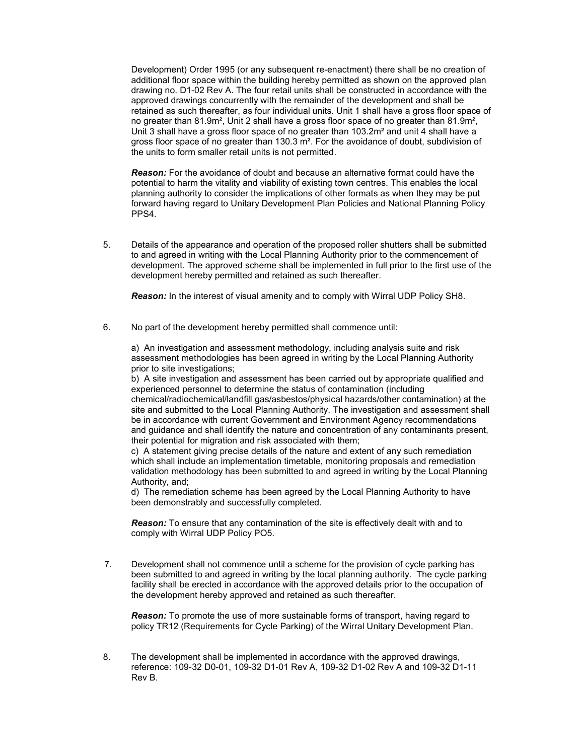Development) Order 1995 (or any subsequent re-enactment) there shall be no creation of additional floor space within the building hereby permitted as shown on the approved plan drawing no. D1-02 Rev A. The four retail units shall be constructed in accordance with the approved drawings concurrently with the remainder of the development and shall be retained as such thereafter, as four individual units. Unit 1 shall have a gross floor space of no greater than 81.9m², Unit 2 shall have a gross floor space of no greater than 81.9m², Unit 3 shall have a gross floor space of no greater than 103.2m² and unit 4 shall have a gross floor space of no greater than 130.3 m². For the avoidance of doubt, subdivision of the units to form smaller retail units is not permitted.

Reason: For the avoidance of doubt and because an alternative format could have the potential to harm the vitality and viability of existing town centres. This enables the local planning authority to consider the implications of other formats as when they may be put forward having regard to Unitary Development Plan Policies and National Planning Policy PPS4.

5. Details of the appearance and operation of the proposed roller shutters shall be submitted to and agreed in writing with the Local Planning Authority prior to the commencement of development. The approved scheme shall be implemented in full prior to the first use of the development hereby permitted and retained as such thereafter.

**Reason:** In the interest of visual amenity and to comply with Wirral UDP Policy SH8.

6. No part of the development hereby permitted shall commence until:

a) An investigation and assessment methodology, including analysis suite and risk assessment methodologies has been agreed in writing by the Local Planning Authority prior to site investigations;

b) A site investigation and assessment has been carried out by appropriate qualified and experienced personnel to determine the status of contamination (including

chemical/radiochemical/landfill gas/asbestos/physical hazards/other contamination) at the site and submitted to the Local Planning Authority. The investigation and assessment shall be in accordance with current Government and Environment Agency recommendations and guidance and shall identify the nature and concentration of any contaminants present, their potential for migration and risk associated with them;

c) A statement giving precise details of the nature and extent of any such remediation which shall include an implementation timetable, monitoring proposals and remediation validation methodology has been submitted to and agreed in writing by the Local Planning Authority, and;

d) The remediation scheme has been agreed by the Local Planning Authority to have been demonstrably and successfully completed.

**Reason:** To ensure that any contamination of the site is effectively dealt with and to comply with Wirral UDP Policy PO5.

 7. Development shall not commence until a scheme for the provision of cycle parking has been submitted to and agreed in writing by the local planning authority. The cycle parking facility shall be erected in accordance with the approved details prior to the occupation of the development hereby approved and retained as such thereafter.

**Reason:** To promote the use of more sustainable forms of transport, having regard to policy TR12 (Requirements for Cycle Parking) of the Wirral Unitary Development Plan.

8. The development shall be implemented in accordance with the approved drawings, reference: 109-32 D0-01, 109-32 D1-01 Rev A, 109-32 D1-02 Rev A and 109-32 D1-11 Rev B.